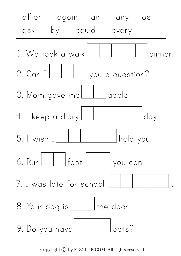

Copyright  $\odot$  by KIZCLUB.COM. All rights reserved.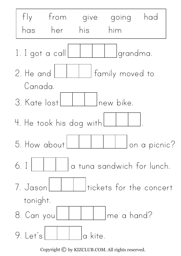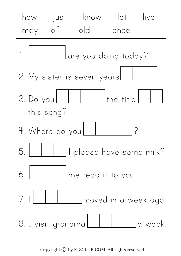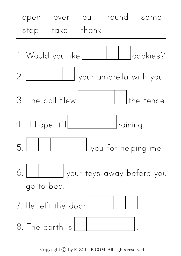